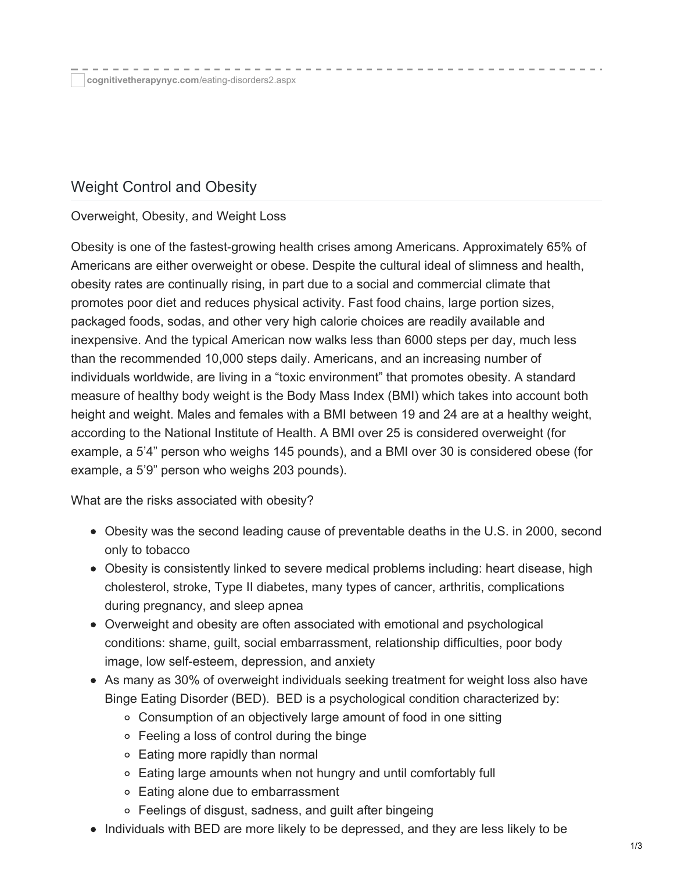# Weight Control and Obesity

#### Overweight, Obesity, and Weight Loss

Obesity is one of the fastest-growing health crises among Americans. Approximately 65% of Americans are either overweight or obese. Despite the cultural ideal of slimness and health, obesity rates are continually rising, in part due to a social and commercial climate that promotes poor diet and reduces physical activity. Fast food chains, large portion sizes, packaged foods, sodas, and other very high calorie choices are readily available and inexpensive. And the typical American now walks less than 6000 steps per day, much less than the recommended 10,000 steps daily. Americans, and an increasing number of individuals worldwide, are living in a "toxic environment" that promotes obesity. A standard measure of healthy body weight is the Body Mass Index (BMI) which takes into account both height and weight. Males and females with a BMI between 19 and 24 are at a healthy weight, according to the National Institute of Health. A BMI over 25 is considered overweight (for example, a 5'4" person who weighs 145 pounds), and a BMI over 30 is considered obese (for example, a 5'9" person who weighs 203 pounds).

What are the risks associated with obesity?

- Obesity was the second leading cause of preventable deaths in the U.S. in 2000, second only to tobacco
- Obesity is consistently linked to severe medical problems including: heart disease, high cholesterol, stroke, Type II diabetes, many types of cancer, arthritis, complications during pregnancy, and sleep apnea
- Overweight and obesity are often associated with emotional and psychological conditions: shame, guilt, social embarrassment, relationship difficulties, poor body image, low self-esteem, depression, and anxiety
- As many as 30% of overweight individuals seeking treatment for weight loss also have Binge Eating Disorder (BED). BED is a psychological condition characterized by:
	- Consumption of an objectively large amount of food in one sitting
	- Feeling a loss of control during the binge
	- Eating more rapidly than normal
	- Eating large amounts when not hungry and until comfortably full
	- Eating alone due to embarrassment
	- Feelings of disgust, sadness, and guilt after bingeing
- Individuals with BED are more likely to be depressed, and they are less likely to be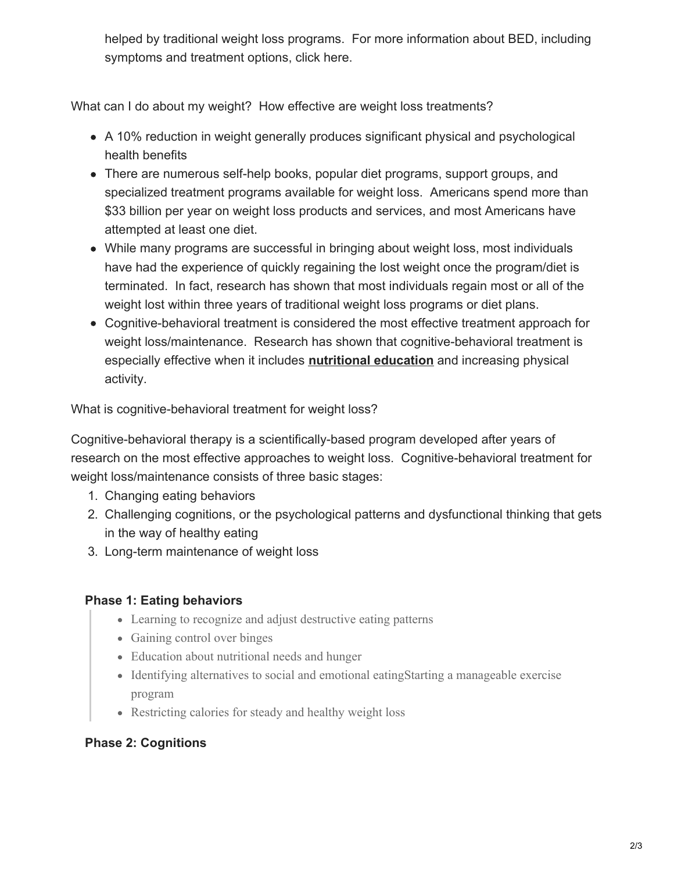helped by traditional weight loss programs. For more information about BED, including symptoms and treatment options, click here.

What can I do about my weight? How effective are weight loss treatments?

- A 10% reduction in weight generally produces significant physical and psychological health benefits
- There are numerous self-help books, popular diet programs, support groups, and specialized treatment programs available for weight loss. Americans spend more than \$33 billion per year on weight loss products and services, and most Americans have attempted at least one diet.
- While many programs are successful in bringing about weight loss, most individuals have had the experience of quickly regaining the lost weight once the program/diet is terminated. In fact, research has shown that most individuals regain most or all of the weight lost within three years of traditional weight loss programs or diet plans.
- Cognitive-behavioral treatment is considered the most effective treatment approach for weight loss/maintenance. Research has shown that cognitive-behavioral treatment is especially effective when it includes **[nutritional](http://cognitivetherapynyc.com/Nutritional-Counseling.aspx) education** and increasing physical activity.

What is cognitive-behavioral treatment for weight loss?

Cognitive-behavioral therapy is a scientifically-based program developed after years of research on the most effective approaches to weight loss. Cognitive-behavioral treatment for weight loss/maintenance consists of three basic stages:

- 1. Changing eating behaviors
- 2. Challenging cognitions, or the psychological patterns and dysfunctional thinking that gets in the way of healthy eating
- 3. Long-term maintenance of weight loss

### **Phase 1: Eating behaviors**

- Learning to recognize and adjust destructive eating patterns
- Gaining control over binges
- Education about nutritional needs and hunger
- Identifying alternatives to social and emotional eatingStarting a manageable exercise program
- Restricting calories for steady and healthy weight loss

## **Phase 2: Cognitions**